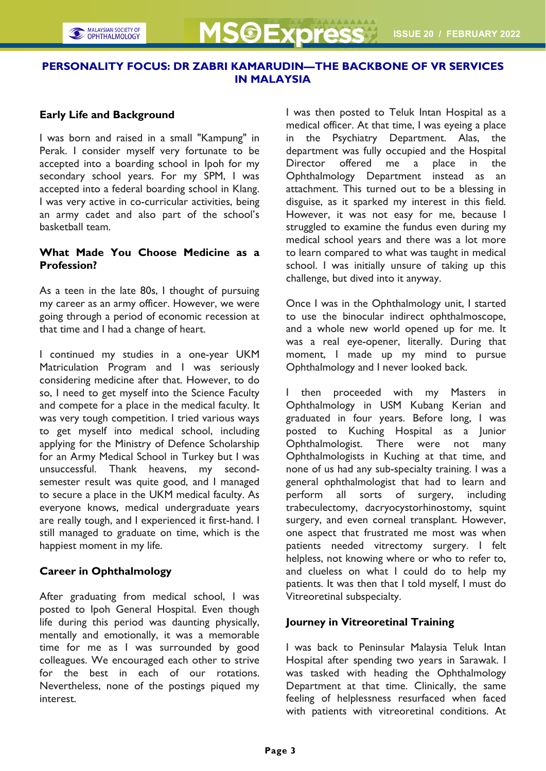# PERSONALITY FOCUS: DR ZABRI KAMARUDIN—THE BACKBONE OF VR SERVICES IN MALAYSIA

#### Early Life and Background

I was born and raised in a small "Kampung" in Perak. I consider myself very fortunate to be accepted into a boarding school in Ipoh for my secondary school years. For my SPM, I was accepted into a federal boarding school in Klang. I was very active in co-curricular activities, being an army cadet and also part of the school's basketball team.

## What Made You Choose Medicine as a Profession?

As a teen in the late 80s, I thought of pursuing my career as an army officer. However, we were going through a period of economic recession at that time and I had a change of heart.

I continued my studies in a one-year UKM Matriculation Program and I was seriously considering medicine after that. However, to do so, I need to get myself into the Science Faculty and compete for a place in the medical faculty. It was very tough competition. I tried various ways to get myself into medical school, including applying for the Ministry of Defence Scholarship for an Army Medical School in Turkey but I was unsuccessful. Thank heavens, my secondsemester result was quite good, and I managed to secure a place in the UKM medical faculty. As everyone knows, medical undergraduate years are really tough, and I experienced it first-hand. I still managed to graduate on time, which is the happiest moment in my life.

#### Career in Ophthalmology

After graduating from medical school, I was posted to Ipoh General Hospital. Even though life during this period was daunting physically, mentally and emotionally, it was a memorable time for me as I was surrounded by good colleagues. We encouraged each other to strive for the best in each of our rotations. Nevertheless, none of the postings piqued my interest.

I was then posted to Teluk Intan Hospital as a medical officer. At that time, I was eyeing a place in the Psychiatry Department. Alas, the department was fully occupied and the Hospital Director offered me a place in the Ophthalmology Department instead as an attachment. This turned out to be a blessing in disguise, as it sparked my interest in this field. However, it was not easy for me, because I struggled to examine the fundus even during my medical school years and there was a lot more to learn compared to what was taught in medical school. I was initially unsure of taking up this challenge, but dived into it anyway.

Once I was in the Ophthalmology unit, I started to use the binocular indirect ophthalmoscope, and a whole new world opened up for me. It was a real eye-opener, literally. During that moment, I made up my mind to pursue Ophthalmology and I never looked back.

I then proceeded with my Masters in Ophthalmology in USM Kubang Kerian and graduated in four years. Before long, I was posted to Kuching Hospital as a Junior Ophthalmologist. There were not many Ophthalmologists in Kuching at that time, and none of us had any sub-specialty training. I was a general ophthalmologist that had to learn and perform all sorts of surgery, including trabeculectomy, dacryocystorhinostomy, squint surgery, and even corneal transplant. However, one aspect that frustrated me most was when patients needed vitrectomy surgery. I felt helpless, not knowing where or who to refer to, and clueless on what I could do to help my patients. It was then that I told myself, I must do Vitreoretinal subspecialty.

## Journey in Vitreoretinal Training

I was back to Peninsular Malaysia Teluk Intan Hospital after spending two years in Sarawak. I was tasked with heading the Ophthalmology Department at that time. Clinically, the same feeling of helplessness resurfaced when faced with patients with vitreoretinal conditions. At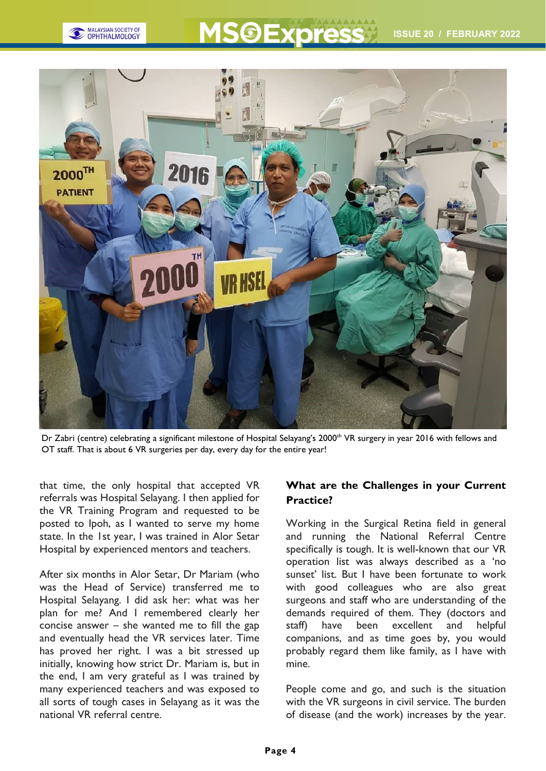

# **OExpress**



Dr Zabri (centre) celebrating a significant milestone of Hospital Selayang's 2000<sup>th</sup> VR surgery in year 2016 with fellows and OT staff. That is about 6 VR surgeries per day, every day for the entire year!

that time, the only hospital that accepted VR referrals was Hospital Selayang. I then applied for the VR Training Program and requested to be posted to Ipoh, as I wanted to serve my home state. In the 1st year, I was trained in Alor Setar Hospital by experienced mentors and teachers.

After six months in Alor Setar, Dr Mariam (who was the Head of Service) transferred me to Hospital Selayang. I did ask her: what was her plan for me? And I remembered clearly her concise answer – she wanted me to fill the gap and eventually head the VR services later. Time has proved her right. I was a bit stressed up initially, knowing how strict Dr. Mariam is, but in the end, I am very grateful as I was trained by many experienced teachers and was exposed to all sorts of tough cases in Selayang as it was the national VR referral centre.

# What are the Challenges in your Current Practice?

Working in the Surgical Retina field in general and running the National Referral Centre specifically is tough. It is well-known that our VR operation list was always described as a 'no sunset' list. But I have been fortunate to work with good colleagues who are also great surgeons and staff who are understanding of the demands required of them. They (doctors and staff) have been excellent and helpful companions, and as time goes by, you would probably regard them like family, as I have with mine.

People come and go, and such is the situation with the VR surgeons in civil service. The burden of disease (and the work) increases by the year.